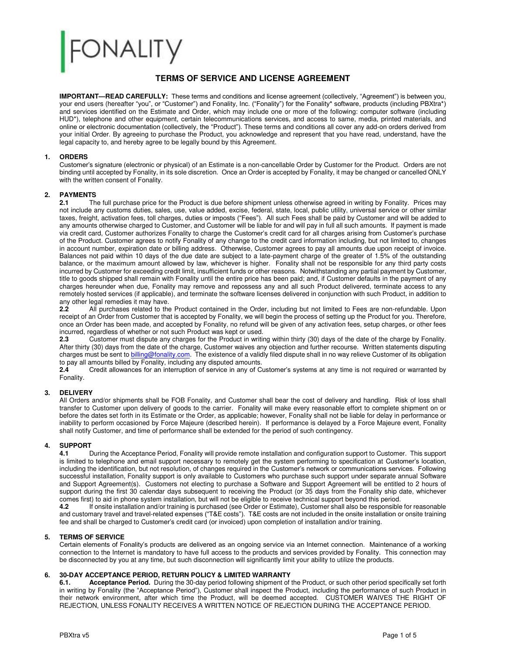# **ONALITY**

#### **TERMS OF SERVICE AND LICENSE AGREEMENT**

**IMPORTANT—READ CAREFULLY:** These terms and conditions and license agreement (collectively, "Agreement") is between you, your end users (hereafter "you", or "Customer") and Fonality, Inc. ("Fonality") for the Fonality\* software, products (including PBXtra\*) and services identified on the Estimate and Order, which may include one or more of the following: computer software (including HUD\*), telephone and other equipment, certain telecommunications services, and access to same, media, printed materials, and online or electronic documentation (collectively, the "Product"). These terms and conditions all cover any add-on orders derived from your initial Order. By agreeing to purchase the Product, you acknowledge and represent that you have read, understand, have the legal capacity to, and hereby agree to be legally bound by this Agreement.

#### **1. ORDERS**

Customer's signature (electronic or physical) of an Estimate is a non-cancellable Order by Customer for the Product. Orders are not binding until accepted by Fonality, in its sole discretion. Once an Order is accepted by Fonality, it may be changed or cancelled ONLY with the written consent of Fonality.

## **2. PAYMENTS**<br>**2.1** Th

**2.1** The full purchase price for the Product is due before shipment unless otherwise agreed in writing by Fonality. Prices may not include any customs duties, sales, use, value added, excise, federal, state, local, public utility, universal service or other similar taxes, freight, activation fees, toll charges, duties or imposts ("Fees"). All such Fees shall be paid by Customer and will be added to any amounts otherwise charged to Customer, and Customer will be liable for and will pay in full all such amounts. If payment is made via credit card, Customer authorizes Fonality to charge the Customer's credit card for all charges arising from Customer's purchase of the Product. Customer agrees to notify Fonality of any change to the credit card information including, but not limited to, changes in account number, expiration date or billing address. Otherwise, Customer agrees to pay all amounts due upon receipt of invoice. Balances not paid within 10 days of the due date are subject to a late-payment charge of the greater of 1.5% of the outstanding balance, or the maximum amount allowed by law, whichever is higher. Fonality shall not be responsible for any third party costs incurred by Customer for exceeding credit limit, insufficient funds or other reasons. Notwithstanding any partial payment by Customer, title to goods shipped shall remain with Fonality until the entire price has been paid; and, if Customer defaults in the payment of any charges hereunder when due, Fonality may remove and repossess any and all such Product delivered, terminate access to any remotely hosted services (if applicable), and terminate the software licenses delivered in conjunction with such Product, in addition to any other legal remedies it may have.<br>2.2 All purchases related to the

**2.2** All purchases related to the Product contained in the Order, including but not limited to Fees are non-refundable. Upon receipt of an Order from Customer that is accepted by Fonality, we will begin the process of setting up the Product for you. Therefore, once an Order has been made, and accepted by Fonality, no refund will be given of any activation fees, setup charges, or other fees incurred, regardless of whether or not such Product was kept or used.<br>2.3 Customer must dispute any charges for the Product in writing

**2.3** Customer must dispute any charges for the Product in writing within thirty (30) days of the date of the charge by Fonality. After thirty (30) days from the date of the charge, Customer waives any objection and further recourse. Written statements disputing charges must be sent t[o billing@fonality.com.](mailto:billing@fonality.com) The existence of a validly filed dispute shall in no way relieve Customer of its obligation to pay all amounts billed by Fonality, including any disputed amounts.

**2.4** Credit allowances for an interruption of service in any of Customer's systems at any time is not required or warranted by Fonality.

#### **3. DELIVERY**

All Orders and/or shipments shall be FOB Fonality, and Customer shall bear the cost of delivery and handling. Risk of loss shall transfer to Customer upon delivery of goods to the carrier. Fonality will make every reasonable effort to complete shipment on or before the dates set forth in its Estimate or the Order, as applicable; however, Fonality shall not be liable for delay in performance or inability to perform occasioned by Force Majeure (described herein). If performance is delayed by a Force Majeure event, Fonality shall notify Customer, and time of performance shall be extended for the period of such contingency.

## **4. SUPPORT**

**4.1** During the Acceptance Period, Fonality will provide remote installation and configuration support to Customer. This support is limited to telephone and email support necessary to remotely get the system performing to specification at Customer's location, including the identification, but not resolution, of changes required in the Customer's network or communications services. Following successful installation, Fonality support is only available to Customers who purchase such support under separate annual Software and Support Agreement(s). Customers not electing to purchase a Software and Support Agreement will be entitled to 2 hours of support during the first 30 calendar days subsequent to receiving the Product (or 35 days from the Fonality ship date, whichever comes first) to aid in phone system installation, but will not be eligible to receive technical support beyond this period.

**4.2** If onsite installation and/or training is purchased (see Order or Estimate), Customer shall also be responsible for reasonable and customary travel and travel-related expenses ("T&E costs"). T&E costs are not included in the onsite installation or onsite training fee and shall be charged to Customer's credit card (or invoiced) upon completion of installation and/or training.

#### **5. TERMS OF SERVICE**

Certain elements of Fonality's products are delivered as an ongoing service via an Internet connection. Maintenance of a working connection to the Internet is mandatory to have full access to the products and services provided by Fonality. This connection may be disconnected by you at any time, but such disconnection will significantly limit your ability to utilize the products.

## **6. 30-DAY ACCEPTANCE PERIOD, RETURN POLICY & LIMITED WARRANTY**

**6.1. Acceptance Period.** During the 30-day period following shipment of the Product, or such other period specifically set forth in writing by Fonality (the "Acceptance Period"), Customer shall inspect the Product, including the performance of such Product in their network environment, after which time the Product, will be deemed accepted. CUSTOMER WAIVES THE RIGHT OF REJECTION, UNLESS FONALITY RECEIVES A WRITTEN NOTICE OF REJECTION DURING THE ACCEPTANCE PERIOD.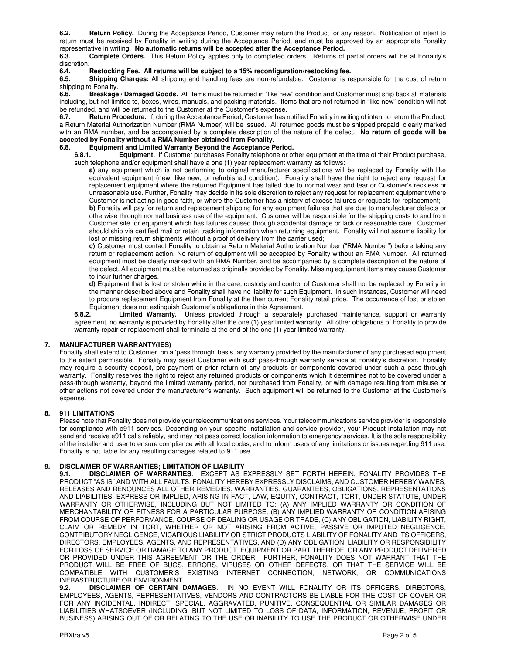**6.2. Return Policy.** During the Acceptance Period, Customer may return the Product for any reason. Notification of intent to return must be received by Fonality in writing during the Acceptance Period, and must be approved by an appropriate Fonality representative in writing. **No automatic returns will be accepted after the Acceptance Period.** 

**6.3. Complete Orders.** This Return Policy applies only to completed orders. Returns of partial orders will be at Fonality's discretion.<br>6.4.

## **6.4.** Restocking Fee. All returns will be subject to a 15% reconfiguration/restocking fee.<br>**6.5.** Shipping Charges: All shipping and handling fees are non-refundable. Customer is re

**Shipping Charges:** All shipping and handling fees are non-refundable. Customer is responsible for the cost of return shipping to Fonality.<br>6.6. **Breakage** 

**6.6. Breakage / Damaged Goods.** All items must be returned in "like new" condition and Customer must ship back all materials including, but not limited to, boxes, wires, manuals, and packing materials. Items that are not returned in "like new" condition will not be refunded, and will be returned to the Customer at the Customer's expense.<br>6.7. Return Procedure. If, during the Acceptance Period, Customer has return

**6.7. Return Procedure.** If, during the Acceptance Period, Customer has notified Fonality in writing of intent to return the Product, a Return Material Authorization Number (RMA Number) will be issued. All returned goods must be shipped prepaid, clearly marked with an RMA number, and be accompanied by a complete description of the nature of the defect. **No return of goods will be accepted by Fonality without a RMA Number obtained from Fonality**.

## **6.8.** Equipment and Limited Warranty Beyond the Acceptance Period.<br>**6.8.1.** Equipment. If Customer purchases Fonality telephone or of

**Equipment.** If Customer purchases Fonality telephone or other equipment at the time of their Product purchase, such telephone and/or equipment shall have a one (1) year replacement warranty as follows:

**a)** any equipment which is not performing to original manufacturer specifications will be replaced by Fonality with like equivalent equipment (new, like new, or refurbished condition). Fonality shall have the right to reject any request for replacement equipment where the returned Equipment has failed due to normal wear and tear or Customer's reckless or unreasonable use. Further, Fonality may decide in its sole discretion to reject any request for replacement equipment where Customer is not acting in good faith, or where the Customer has a history of excess failures or requests for replacement;

**b)** Fonality will pay for return and replacement shipping for any equipment failures that are due to manufacturer defects or otherwise through normal business use of the equipment. Customer will be responsible for the shipping costs to and from Customer site for equipment which has failures caused through accidental damage or lack or reasonable care. Customer should ship via certified mail or retain tracking information when returning equipment. Fonality will not assume liability for lost or missing return shipments without a proof of delivery from the carrier used;

**c)** Customer must contact Fonality to obtain a Return Material Authorization Number ("RMA Number") before taking any return or replacement action. No return of equipment will be accepted by Fonality without an RMA Number. All returned equipment must be clearly marked with an RMA Number, and be accompanied by a complete description of the nature of the defect. All equipment must be returned as originally provided by Fonality. Missing equipment items may cause Customer to incur further charges.

**d)** Equipment that is lost or stolen while in the care, custody and control of Customer shall not be replaced by Fonality in the manner described above and Fonality shall have no liability for such Equipment. In such instances, Customer will need to procure replacement Equipment from Fonality at the then current Fonality retail price. The occurrence of lost or stolen

Equipment does not extinguish Customer's obligations in this Agreement.<br>6.8.2. Limited Warranty. Unless provided through a separately Limited Warranty. Unless provided through a separately purchased maintenance, support or warranty agreement, no warranty is provided by Fonality after the one (1) year limited warranty. All other obligations of Fonality to provide warranty repair or replacement shall terminate at the end of the one (1) year limited warranty.

#### **7. MANUFACTURER WARRANTY(IES)**

Fonality shall extend to Customer, on a 'pass through' basis, any warranty provided by the manufacturer of any purchased equipment to the extent permissible. Fonality may assist Customer with such pass-through warranty service at Fonality's discretion. Fonality may require a security deposit, pre-payment or prior return of any products or components covered under such a pass-through warranty. Fonality reserves the right to reject any returned products or components which it determines not to be covered under a pass-through warranty, beyond the limited warranty period, not purchased from Fonality, or with damage resulting from misuse or other actions not covered under the manufacturer's warranty. Such equipment will be returned to the Customer at the Customer's expense.

#### **8. 911 LIMITATIONS**

Please note that Fonality does not provide your telecommunications services. Your telecommunications service provider is responsible for compliance with e911 services. Depending on your specific installation and service provider, your Product installation may not send and receive e911 calls reliably, and may not pass correct location information to emergency services. It is the sole responsibility of the installer and user to ensure compliance with all local codes, and to inform users of any limitations or issues regarding 911 use. Fonality is not liable for any resulting damages related to 911 use.

#### **9. DISCLAIMER OF WARRANTIES; LIMITATION OF LIABILITY**

**9.1. DISCLAIMER OF WARRANTIES**. EXCEPT AS EXPRESSLY SET FORTH HEREIN, FONALITY PROVIDES THE PRODUCT "AS IS" AND WITH ALL FAULTS. FONALITY HEREBY EXPRESSLY DISCLAIMS, AND CUSTOMER HEREBY WAIVES, RELEASES AND RENOUNCES ALL OTHER REMEDIES, WARRANTIES, GUARANTEES, OBLIGATIONS, REPRESENTATIONS AND LIABILITIES, EXPRESS OR IMPLIED, ARISING IN FACT, LAW, EQUITY, CONTRACT, TORT, UNDER STATUTE, UNDER WARRANTY OR OTHERWISE, INCLUDING BUT NOT LIMITED TO: (A) ANY IMPLIED WARRANTY OR CONDITION OF MERCHANTABILITY OR FITNESS FOR A PARTICULAR PURPOSE, (B) ANY IMPLIED WARRANTY OR CONDITION ARISING FROM COURSE OF PERFORMANCE, COURSE OF DEALING OR USAGE OR TRADE, (C) ANY OBLIGATION, LIABILITY RIGHT, CLAIM OR REMEDY IN TORT, WHETHER OR NOT ARISING FROM ACTIVE, PASSIVE OR IMPUTED NEGLIGENCE, CONTRIBUTORY NEGLIGENCE, VICARIOUS LIABILITY OR STRICT PRODUCTS LIABILITY OF FONALITY AND ITS OFFICERS, DIRECTORS, EMPLOYEES, AGENTS, AND REPRESENTATIVES, AND (D) ANY OBLIGATION, LIABILITY OR RESPONSIBILITY FOR LOSS OF SERVICE OR DAMAGE TO ANY PRODUCT, EQUIPMENT OR PART THEREOF, OR ANY PRODUCT DELIVERED OR PROVIDED UNDER THIS AGREEMENT OR THE ORDER. FURTHER, FONALITY DOES NOT WARRANT THAT THE PRODUCT WILL BE FREE OF BUGS, ERRORS, VIRUSES OR OTHER DEFECTS, OR THAT THE SERVICE WILL BE COMPATIBLE WITH CUSTOMER'S EXISTING INTERNET CONNECTION, NETWORK, OR COMMUNICATIONS INFRASTRUCTURE OR ENVIRONMENT.

**9.2. DISCLAIMER OF CERTAIN DAMAGES**. IN NO EVENT WILL FONALITY OR ITS OFFICERS, DIRECTORS, EMPLOYEES, AGENTS, REPRESENTATIVES, VENDORS AND CONTRACTORS BE LIABLE FOR THE COST OF COVER OR FOR ANY INCIDENTAL, INDIRECT, SPECIAL, AGGRAVATED, PUNITIVE, CONSEQUENTIAL OR SIMILAR DAMAGES OR LIABILITIES WHATSOEVER (INCLUDING, BUT NOT LIMITED TO LOSS OF DATA, INFORMATION, REVENUE, PROFIT OR BUSINESS) ARISING OUT OF OR RELATING TO THE USE OR INABILITY TO USE THE PRODUCT OR OTHERWISE UNDER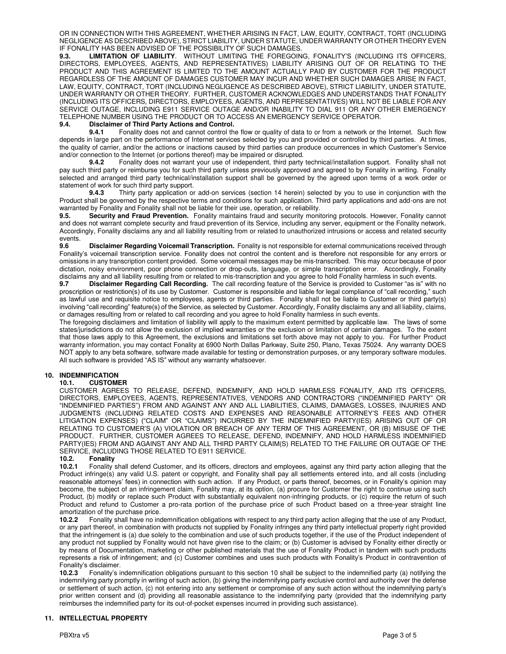OR IN CONNECTION WITH THIS AGREEMENT, WHETHER ARISING IN FACT, LAW, EQUITY, CONTRACT, TORT (INCLUDING NEGLIGENCE AS DESCRIBED ABOVE), STRICT LIABILITY, UNDER STATUTE, UNDER WARRANTY OR OTHER THEORY EVEN IF FONALITY HAS BEEN ADVISED OF THE POSSIBILITY OF SUCH DAMAGES.

**9.3. LIMITATION OF LIABILITY**. WITHOUT LIMITING THE FOREGOING, FONALITY'S (INCLUDING ITS OFFICERS, DIRECTORS, EMPLOYEES, AGENTS, AND REPRESENTATIVES) LIABILITY ARISING OUT OF OR RELATING TO THE PRODUCT AND THIS AGREEMENT IS LIMITED TO THE AMOUNT ACTUALLY PAID BY CUSTOMER FOR THE PRODUCT REGARDLESS OF THE AMOUNT OF DAMAGES CUSTOMER MAY INCUR AND WHETHER SUCH DAMAGES ARISE IN FACT, LAW, EQUITY, CONTRACT, TORT (INCLUDING NEGLIGENCE AS DESCRIBED ABOVE), STRICT LIABILITY, UNDER STATUTE, UNDER WARRANTY OR OTHER THEORY. FURTHER, CUSTOMER ACKNOWLEDGES AND UNDERSTANDS THAT FONALITY (INCLUDING ITS OFFICERS, DIRECTORS, EMPLOYEES, AGENTS, AND REPRESENTATIVES) WILL NOT BE LIABLE FOR ANY SERVICE OUTAGE, INCLUDING E911 SERVICE OUTAGE AND/OR INABILITY TO DIAL 911 OR ANY OTHER EMERGENCY TELEPHONE NUMBER USING THE PRODUCT OR TO ACCESS AN EMERGENCY SERVICE OPERATOR.

#### **9.4. Disclaimer of Third Party Actions and Control.**

**9.4.1** Fonality does not and cannot control the flow or quality of data to or from a network or the Internet. Such flow depends in large part on the performance of Internet services selected by you and provided or controlled by third parties. At times, the quality of carrier, and/or the actions or inactions caused by third parties can produce occurrences in which Customer's Service and/or connection to the Internet (or portions thereof) may be impaired or disrupted.<br>**9.4.2** Fonality does not warrant your use of independent, third party

**9.4.2** Fonality does not warrant your use of independent, third party technical/installation support. Fonality shall not pay such third party or reimburse you for such third party unless previously approved and agreed to by Fonality in writing. Fonality selected and arranged third party technical/installation support shall be governed by the agreed upon terms of a work order or statement of work for such third party support.

**9.4.3** Thirty party application or add-on services (section 14 herein) selected by you to use in conjunction with the Product shall be governed by the respective terms and conditions for such application. Third party applications and add-ons are not warranted by Fonality and Fonality shall not be liable for their use, operation, or reliability.

**9.5. Security and Fraud Prevention.** Fonality maintains fraud and security monitoring protocols. However, Fonality cannot and does not warrant complete security and fraud prevention of its Service, including any server, equipment or the Fonality network. Accordingly, Fonality disclaims any and all liability resulting from or related to unauthorized intrusions or access and related security events.<br>9.6

**9.6 Disclaimer Regarding Voicemail Transcription.** Fonality is not responsible for external communications received through Fonality's voicemail transcription service. Fonality does not control the content and is therefore not responsible for any errors or omissions in any transcription content provided. Some voicemail messages may be mis-transcribed. This may occur because of poor dictation, noisy environment, poor phone connection or drop-outs, language, or simple transcription error. Accordingly, Fonality disclaims any and all liability resulting from or related to mis-transcription and you agree to hold Fonality harmless in such events.<br>9.7 **Disclaimer Regarding Call Recording**. The call recording feature of the Service is

**9.7 Disclaimer Regarding Call Recording.** The call recording feature of the Service is provided to Customer "as is" with no proscription or restriction(s) of its use by Customer. Customer is responsible and liable for legal compliance of "call recording," such as lawful use and requisite notice to employees, agents or third parties. Fonality shall not be liable to Customer or third party(s) involving "call recording" feature(s) of the Service, as selected by Customer. Accordingly, Fonality disclaims any and all liability, claims, or damages resulting from or related to call recording and you agree to hold Fonality harmless in such events.

The foregoing disclaimers and limitation of liability will apply to the maximum extent permitted by applicable law. The laws of some states/jurisdictions do not allow the exclusion of implied warranties or the exclusion or limitation of certain damages. To the extent that those laws apply to this Agreement, the exclusions and limitations set forth above may not apply to you. For further Product warranty information, you may contact Fonality at 6900 North Dallas Parkway, Suite 250, Plano, Texas 75024. Any warranty DOES NOT apply to any beta software, software made available for testing or demonstration purposes, or any temporary software modules. All such software is provided "AS IS" without any warranty whatsoever.

#### **10. INDEMNIFICATION**

#### **10.1. CUSTOMER**

CUSTOMER AGREES TO RELEASE, DEFEND, INDEMNIFY, AND HOLD HARMLESS FONALITY, AND ITS OFFICERS, DIRECTORS, EMPLOYEES, AGENTS, REPRESENTATIVES, VENDORS AND CONTRACTORS ("INDEMNIFIED PARTY" OR "INDEMNIFIED PARTIES") FROM AND AGAINST ANY AND ALL LIABILITIES, CLAIMS, DAMAGES, LOSSES, INJURIES AND JUDGMENTS (INCLUDING RELATED COSTS AND EXPENSES AND REASONABLE ATTORNEY'S FEES AND OTHER LITIGATION EXPENSES) ("CLAIM" OR "CLAIMS") INCURRED BY THE INDEMNIFIED PARTY(IES) ARISING OUT OF OR RELATING TO CUSTOMER'S (A) VIOLATION OR BREACH OF ANY TERM OF THIS AGREEMENT, OR (B) MISUSE OF THE PRODUCT. FURTHER, CUSTOMER AGREES TO RELEASE, DEFEND, INDEMNIFY, AND HOLD HARMLESS INDEMNIFIED PARTY(IES) FROM AND AGAINST ANY AND ALL THIRD PARTY CLAIM(S) RELATED TO THE FAILURE OR OUTAGE OF THE SERVICE, INCLUDING THOSE RELATED TO E911 SERVICE.

## **10.2. Fonality**

**10.2.1** Fonality shall defend Customer, and its officers, directors and employees, against any third party action alleging that the Product infringe(s) any valid U.S. patent or copyright, and Fonality shall pay all settlements entered into, and all costs (including reasonable attorneys' fees) in connection with such action. If any Product, or parts thereof, becomes, or in Fonality's opinion may become, the subject of an infringement claim, Fonality may, at its option, (a) procure for Customer the right to continue using such Product, (b) modify or replace such Product with substantially equivalent non-infringing products, or (c) require the return of such Product and refund to Customer a pro-rata portion of the purchase price of such Product based on a three-year straight line amortization of the purchase price.

**10.2.2** Fonality shall have no indemnification obligations with respect to any third party action alleging that the use of any Product, or any part thereof, in combination with products not supplied by Fonality infringes any third party intellectual property right provided that the infringement is (a) due solely to the combination and use of such products together, if the use of the Product independent of any product not supplied by Fonality would not have given rise to the claim; or (b) Customer is advised by Fonality either directly or by means of Documentation, marketing or other published materials that the use of Fonality Product in tandem with such products represents a risk of infringement; and (c) Customer combines and uses such products with Fonality's Product in contravention of Fonality's disclaimer.<br>**10.2.3** Fonality's i

**10.2.3** Fonality's indemnification obligations pursuant to this section 10 shall be subject to the indemnified party (a) notifying the indemnifying party promptly in writing of such action, (b) giving the indemnifying party exclusive control and authority over the defense or settlement of such action, (c) not entering into any settlement or compromise of any such action without the indemnifying party's prior written consent and (d) providing all reasonable assistance to the indemnifying party (provided that the indemnifying party reimburses the indemnified party for its out-of-pocket expenses incurred in providing such assistance).

#### **11. INTELLECTUAL PROPERTY**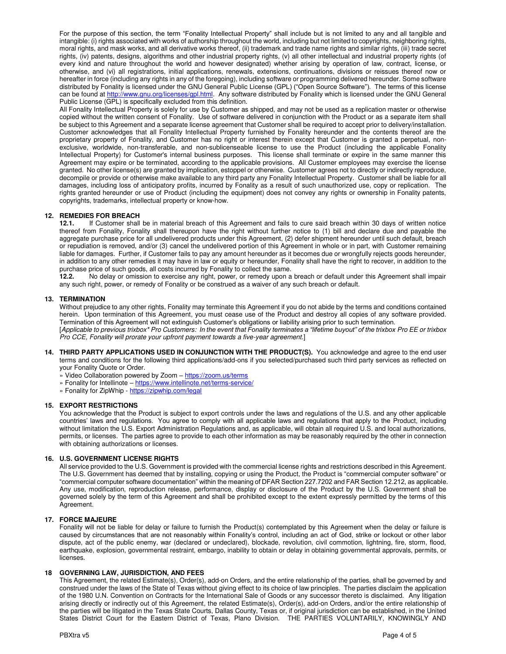For the purpose of this section, the term "Fonality Intellectual Property" shall include but is not limited to any and all tangible and intangible: (i) rights associated with works of authorship throughout the world, including but not limited to copyrights, neighboring rights, moral rights, and mask works, and all derivative works thereof, (ii) trademark and trade name rights and similar rights, (iii) trade secret rights, (iv) patents, designs, algorithms and other industrial property rights, (v) all other intellectual and industrial property rights (of every kind and nature throughout the world and however designated) whether arising by operation of law, contract, license, or otherwise, and (vi) all registrations, initial applications, renewals, extensions, continuations, divisions or reissues thereof now or hereafter in force (including any rights in any of the foregoing), including software or programming delivered hereunder. Some software distributed by Fonality is licensed under the GNU General Public License (GPL) ("Open Source Software"). The terms of this license can be found at http://www.gnu.org/licenses/gpl.html</u>. Any software distributed by Fonality which is licensed under the GNU General Public License (GPL) is specifically excluded from this definition.

All Fonality Intellectual Property is solely for use by Customer as shipped, and may not be used as a replication master or otherwise copied without the written consent of Fonality. Use of software delivered in conjunction with the Product or as a separate item shall be subject to this Agreement and a separate license agreement that Customer shall be required to accept prior to delivery/installation. Customer acknowledges that all Fonality Intellectual Property furnished by Fonality hereunder and the contents thereof are the proprietary property of Fonality, and Customer has no right or interest therein except that Customer is granted a perpetual, nonexclusive, worldwide, non-transferable, and non-sublicenseable license to use the Product (including the applicable Fonality Intellectual Property) for Customer's internal business purposes. This license shall terminate or expire in the same manner this Agreement may expire or be terminated, according to the applicable provisions. All Customer employees may exercise the license granted. No other license(s) are granted by implication, estoppel or otherwise. Customer agrees not to directly or indirectly reproduce, decompile or provide or otherwise make available to any third party any Fonality Intellectual Property. Customer shall be liable for all damages, including loss of anticipatory profits, incurred by Fonality as a result of such unauthorized use, copy or replication. The rights granted hereunder or use of Product (including the equipment) does not convey any rights or ownership in Fonality patents, copyrights, trademarks, intellectual property or know-how.

# **12. REMEDIES FOR BREACH 12.1.** If Customer shall

**12.1.** If Customer shall be in material breach of this Agreement and fails to cure said breach within 30 days of written notice thereof from Fonality, Fonality shall thereupon have the right without further notice to (1) bill and declare due and payable the aggregate purchase price for all undelivered products under this Agreement, (2) defer shipment hereunder until such default, breach or repudiation is removed, and/or (3) cancel the undelivered portion of this Agreement in whole or in part, with Customer remaining liable for damages. Further, if Customer fails to pay any amount hereunder as it becomes due or wrongfully rejects goods hereunder, in addition to any other remedies it may have in law or equity or hereunder, Fonality shall have the right to recover, in addition to the

purchase price of such goods, all costs incurred by Fonality to collect the same.<br>12.2. No delay or omission to exercise any right, power, or remedy upon a **12.2.** No delay or omission to exercise any right, power, or remedy upon a breach or default under this Agreement shall impair any such right, power, or remedy of Fonality or be construed as a waiver of any such breach or default.

#### **13. TERMINATION**

Without prejudice to any other rights, Fonality may terminate this Agreement if you do not abide by the terms and conditions contained herein. Upon termination of this Agreement, you must cease use of the Product and destroy all copies of any software provided. Termination of this Agreement will not extinguish Customer's obligations or liability arising prior to such termination.

[*Applicable to previous trixbox\* Pro Customers: In the event that Fonality terminates a "lifetime buyout" of the trixbox Pro EE or trixbox Pro CCE, Fonality will prorate your upfront payment towards a five-year agreement.*]

**14. THIRD PARTY APPLICATIONS USED IN CONJUNCTION WITH THE PRODUCT(S).** You acknowledge and agree to the end user terms and conditions for the following third applications/add-ons if you selected/purchased such third party services as reflected on your Fonality Quote or Order.

» Video Collaboration powered by Zoom – <https://zoom.us/terms>

- » Fonality for Intellinote https://www.intellinote.net/terms-service/
- » Fonality for ZipWhip https://zipwhip.com/legal

#### **15. EXPORT RESTRICTIONS**

You acknowledge that the Product is subject to export controls under the laws and regulations of the U.S. and any other applicable countries' laws and regulations. You agree to comply with all applicable laws and regulations that apply to the Product, including without limitation the U.S. Export Administration Regulations and, as applicable, will obtain all required U.S. and local authorizations, permits, or licenses. The parties agree to provide to each other information as may be reasonably required by the other in connection with obtaining authorizations or licenses.

#### **16. U.S. GOVERNMENT LICENSE RIGHTS**

All service provided to the U.S. Government is provided with the commercial license rights and restrictions described in this Agreement. The U.S. Government has deemed that by installing, copying or using the Product, the Product is "commercial computer software" or "commercial computer software documentation" within the meaning of DFAR Section 227.7202 and FAR Section 12.212, as applicable. Any use, modification, reproduction release, performance, display or disclosure of the Product by the U.S. Government shall be governed solely by the term of this Agreement and shall be prohibited except to the extent expressly permitted by the terms of this Agreement.

#### **17. FORCE MAJEURE**

Fonality will not be liable for delay or failure to furnish the Product(s) contemplated by this Agreement when the delay or failure is caused by circumstances that are not reasonably within Fonality's control, including an act of God, strike or lockout or other labor dispute, act of the public enemy, war (declared or undeclared), blockade, revolution, civil commotion, lightning, fire, storm, flood, earthquake, explosion, governmental restraint, embargo, inability to obtain or delay in obtaining governmental approvals, permits, or licenses.

#### **18 GOVERNING LAW, JURISDICTION, AND FEES**

This Agreement, the related Estimate(s), Order(s), add-on Orders, and the entire relationship of the parties, shall be governed by and construed under the laws of the State of Texas without giving effect to its choice of law principles. The parties disclaim the application of the 1980 U.N. Convention on Contracts for the International Sale of Goods or any successor thereto is disclaimed. Any litigation arising directly or indirectly out of this Agreement, the related Estimate(s), Order(s), add-on Orders, and/or the entire relationship of the parties will be litigated in the Texas State Courts, Dallas County, Texas or, if original jurisdiction can be established, in the United States District Court for the Eastern District of Texas, Plano Division. THE PARTIES VOLUNTARILY, KNOWINGLY AND